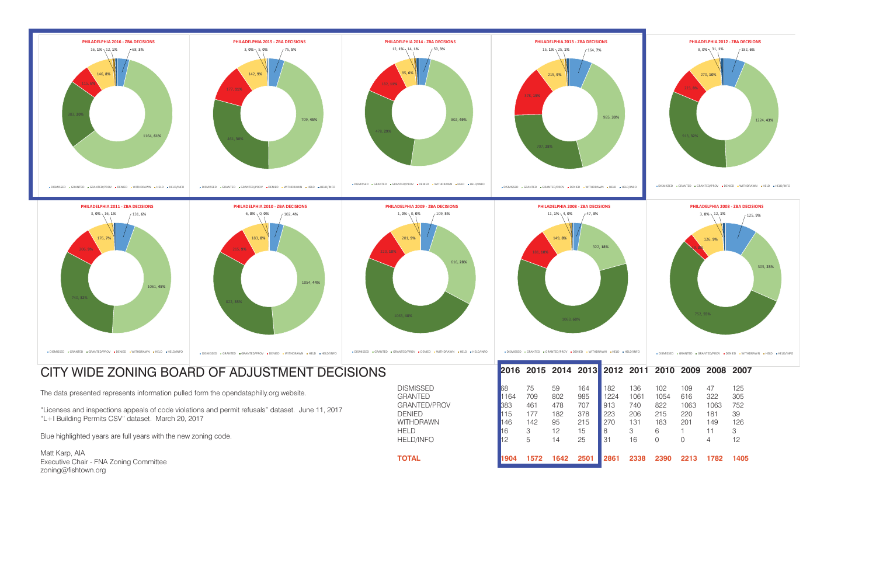## CITY WIDE ZONING BOARD OF ADJUSTMENT DECISIONS

The data presented represents information pulled form the opendataphilly.org website.

"Licenses and inspections appeals of code violations and permit refusals" dataset. June 11, 2017 "L+I Building Permits CSV" dataset. March 20, 2017

Blue highlighted years are full years with the new zoning code.

Matt Karp, AIA Executive Chair - FNA Zoning Committee zoning@fishtown.org

DISMISSED 68 75 59 164 182 136 GRANTED 1164 709 802 985 1224 1061 GRANTED/PROV 383 461 478 707 913 740 DENIED 115 177 182 378 223 206 215 220 181 39WITHDRAWN 146 142 95 215 270 131 HELD 16 3 12 15 8 3 6 1 11 3HELD/INFO 12 5 14 25 31 16 **TOTAL 1904 1572 1642 2501 2861 2338 2390 2213 1782 1405**



## **2016 2015 2014 2013 2012 2011 2010 2009 2008 2007**

| 102  | 109  | 47   | 125 |
|------|------|------|-----|
| 1054 | 616  | 322  | 305 |
| 822  | 1063 | 1063 | 752 |
| 215  | 220  | 181  | 39  |
| 183  | 201  | 149  | 126 |
| 6    | 1    | 11   | З   |
| ∩    | Ω    | Δ    | 12  |